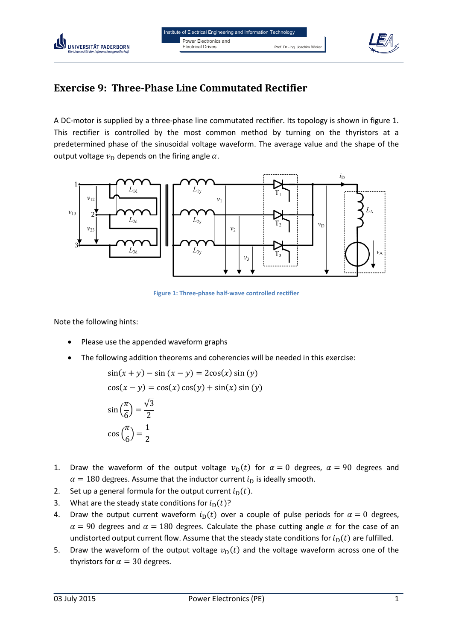

# **Exercise 9: Three-Phase Line Commutated Rectifier**

A DC-motor is supplied by a three-phase line commutated rectifier. Its topology is shown in figure 1. This rectifier is controlled by the most common method by turning on the thyristors at a predetermined phase of the sinusoidal voltage waveform. The average value and the shape of the output voltage  $v<sub>D</sub>$  depends on the firing angle  $\alpha$ .



**Figure 1: Three-phase half-wave controlled rectifier**

Note the following hints:

UNIVERSITÄT PADERBORN

- Please use the appended waveform graphs
- The following addition theorems and coherencies will be needed in this exercise:

$$
\sin(x + y) - \sin(x - y) = 2\cos(x)\sin(y)
$$

$$
\cos(x - y) = \cos(x)\cos(y) + \sin(x)\sin(y)
$$

$$
\sin\left(\frac{\pi}{6}\right) = \frac{\sqrt{3}}{2}
$$

$$
\cos\left(\frac{\pi}{6}\right) = \frac{1}{2}
$$

- 1. Draw the waveform of the output voltage  $v<sub>D</sub>(t)$  for  $\alpha = 0$  degrees,  $\alpha = 90$  degrees and  $\alpha = 180$  degrees. Assume that the inductor current  $i<sub>D</sub>$  is ideally smooth.
- 2. Set up a general formula for the output current  $i<sub>D</sub>(t)$ .
- 3. What are the steady state conditions for  $i_D(t)$ ?
- 4. Draw the output current waveform  $i<sub>D</sub>(t)$  over a couple of pulse periods for  $\alpha = 0$  degrees,  $\alpha$  = 90 degrees and  $\alpha$  = 180 degrees. Calculate the phase cutting angle  $\alpha$  for the case of an undistorted output current flow. Assume that the steady state conditions for  $i<sub>D</sub>(t)$  are fulfilled.
- 5. Draw the waveform of the output voltage  $v<sub>D</sub>(t)$  and the voltage waveform across one of the thyristors for  $\alpha = 30$  degrees.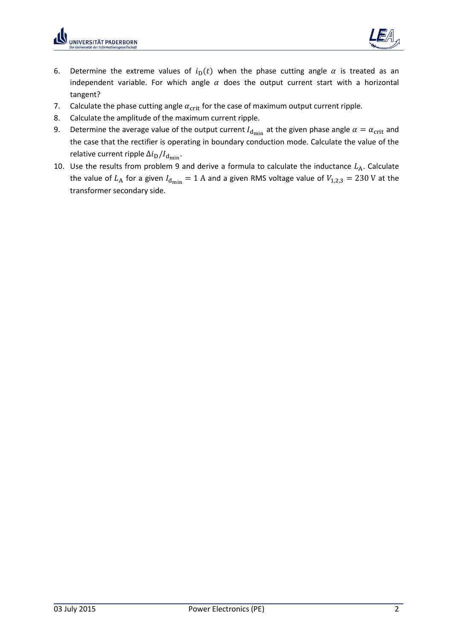

- 6. Determine the extreme values of  $i_D(t)$  when the phase cutting angle  $\alpha$  is treated as an independent variable. For which angle  $\alpha$  does the output current start with a horizontal tangent?
- 7. Calculate the phase cutting angle  $\alpha_{\rm crit}$  for the case of maximum output current ripple.
- 8. Calculate the amplitude of the maximum current ripple.
- 9. Determine the average value of the output current  $I_{d_{\text{min}}}$  at the given phase angle  $\alpha = \alpha_{\text{crit}}$  and the case that the rectifier is operating in boundary conduction mode. Calculate the value of the relative current ripple  $\Delta i_D/I_{\rm dmin}$ .
- 10. Use the results from problem 9 and derive a formula to calculate the inductance  $L_A$ . Calculate the value of  $L_A$  for a given  $I_{\text{dmin}} = 1$  A and a given RMS voltage value of  $V_{1,2,3} = 230$  V at the transformer secondary side.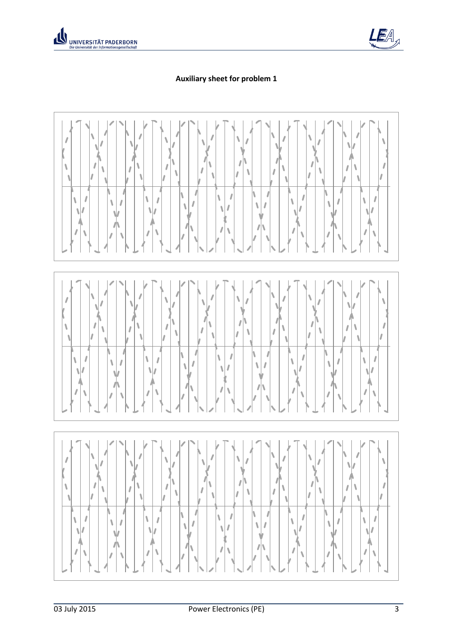



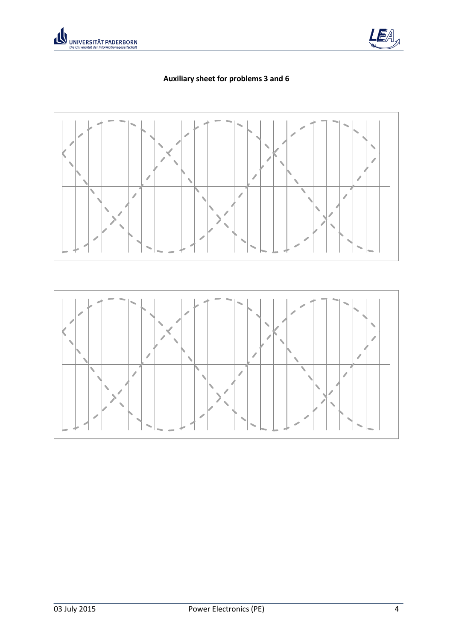



## **Auxiliary sheet for problems 3 and 6**

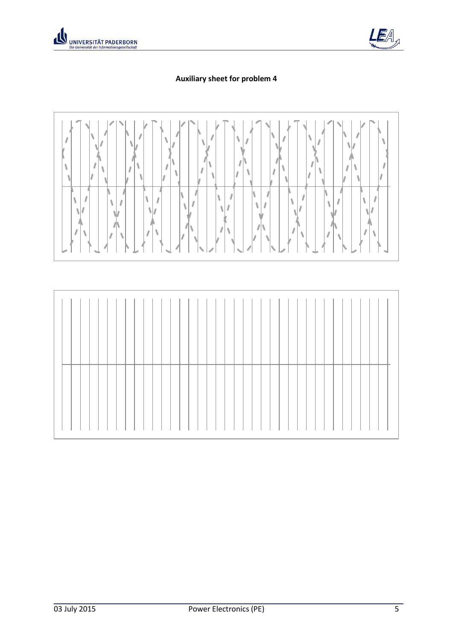



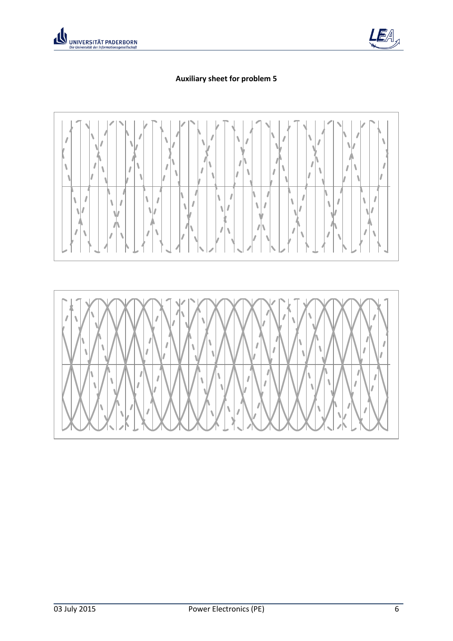